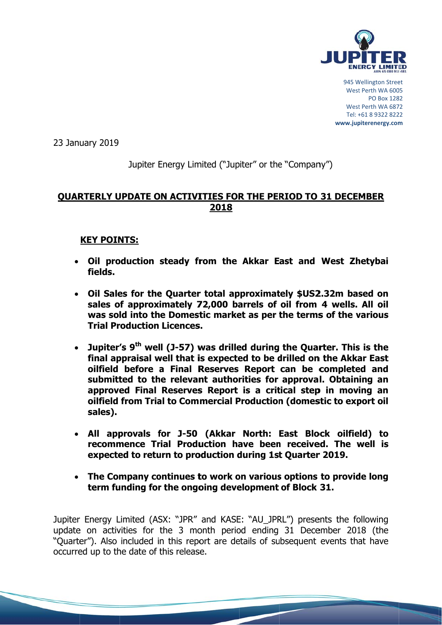

945 Wellington Street West Perth WA 6005 **PO Box 1282** West Perth WA 6872 Tel: +61 8 9322 8222 www.jupiterenergy.com

23 January 2019

# Jupiter Energy Limited ("Jupiter" or the "Company")

# **OUARTERLY UPDATE ON ACTIVITIES FOR THE PERIOD TO 31 DECEMBER** 2018

## **KEY POINTS:**

- . Oil production steady from the Akkar East and West Zhetybai fields.
- Oil Sales for the Quarter total approximately \$US2.32m based on sales of approximately 72,000 barrels of oil from 4 wells. All oil was sold into the Domestic market as per the terms of the various **Trial Production Licences.**
- Jupiter's 9<sup>th</sup> well (J-57) was drilled during the Quarter. This is the final appraisal well that is expected to be drilled on the Akkar East oilfield before a Final Reserves Report can be completed and submitted to the relevant authorities for approval. Obtaining an approved Final Reserves Report is a critical step in moving an oilfield from Trial to Commercial Production (domestic to export oil sales).
- All approvals for J-50 (Akkar North: East Block oilfield) to recommence Trial Production have been received. The well is expected to return to production during 1st Quarter 2019.
- The Company continues to work on various options to provide long term funding for the ongoing development of Block 31.

Jupiter Energy Limited (ASX: "JPR" and KASE: "AU\_JPRL") presents the following update on activities for the 3 month period ending 31 December 2018 (the "Quarter"). Also included in this report are details of subsequent events that have occurred up to the date of this release.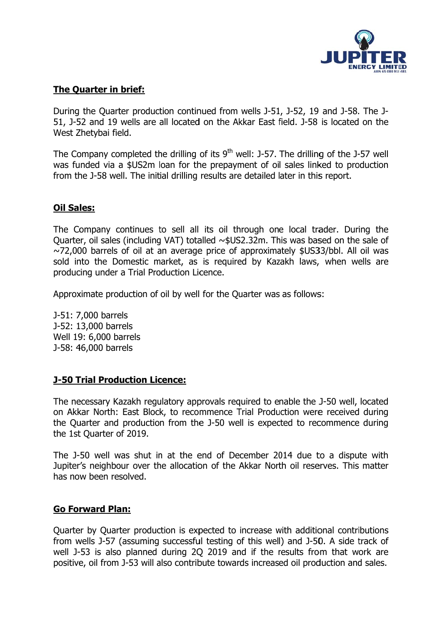

## **The Quarter in brief:**

During the Ouarter production continued from wells J-51, J-52, 19 and J-58. The J-51, J-52 and 19 wells are all located on the Akkar East field. J-58 is located on the West Zhetybai field.

The Company completed the drilling of its 9<sup>th</sup> well: J-57. The drilling of the J-57 well was funded via a \$US2m loan for the prepayment of oil sales linked to production from the J-58 well. The initial drilling results are detailed later in this report.

## **Oil Sales:**

The Company continues to sell all its oil through one local trader. During the Quarter, oil sales (including VAT) totalled ~\$US2.32m. This was based on the sale of  $\sim$ 72,000 barrels of oil at an average price of approximately \$US33/bbl. All oil was sold into the Domestic market, as is required by Kazakh laws, when wells are producing under a Trial Production Licence.

Approximate production of oil by well for the Quarter was as follows:

J-51: 7,000 barrels J-52: 13,000 barrels Well 19: 6,000 barrels J-58: 46,000 barrels

## **J-50 Trial Production Licence:**

The necessary Kazakh regulatory approvals reguired to enable the J-50 well, located on Akkar North: East Block, to recommence Trial Production were received during the Quarter and production from the J-50 well is expected to recommence during the 1st Ouarter of 2019.

The J-50 well was shut in at the end of December 2014 due to a dispute with Jupiter's neighbour over the allocation of the Akkar North oil reserves. This matter has now been resolved.

### **Go Forward Plan:**

Quarter by Quarter production is expected to increase with additional contributions from wells J-57 (assuming successful testing of this well) and J-50. A side track of well J-53 is also planned during 2Q 2019 and if the results from that work are positive, oil from J-53 will also contribute towards increased oil production and sales.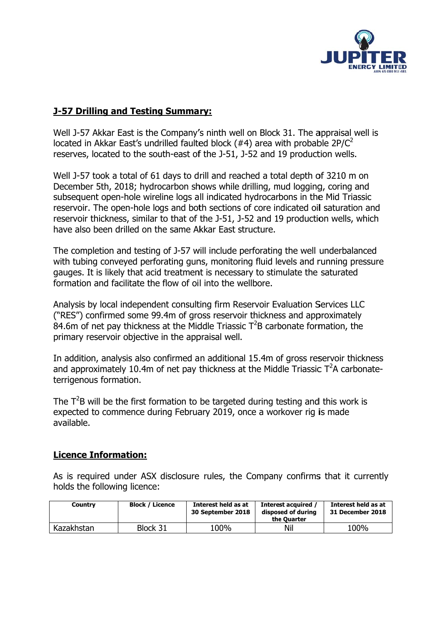

# **J-57 Drilling and Testing Summary:**

Well J-57 Akkar East is the Company's ninth well on Block 31. The appraisal well is located in Akkar East's undrilled faulted block (#4) area with probable  $2P/C^2$ reserves, located to the south-east of the J-51, J-52 and 19 production wells.

Well J-57 took a total of 61 days to drill and reached a total depth of 3210 m on December 5th, 2018; hydrocarbon shows while drilling, mud logging, coring and subsequent open-hole wireline logs all indicated hydrocarbons in the Mid Triassic reservoir. The open-hole logs and both sections of core indicated oil saturation and reservoir thickness, similar to that of the J-51, J-52 and 19 production wells, which have also been drilled on the same Akkar East structure.

The completion and testing of J-57 will include perforating the well underbalanced with tubing conveyed perforating guns, monitoring fluid levels and running pressure gauges. It is likely that acid treatment is necessary to stimulate the saturated formation and facilitate the flow of oil into the wellbore.

Analysis by local independent consulting firm Reservoir Evaluation Services LLC ("RES") confirmed some 99.4m of gross reservoir thickness and approximately 84.6m of net pay thickness at the Middle Triassic  $T^2B$  carbonate formation, the primary reservoir objective in the appraisal well.

In addition, analysis also confirmed an additional 15.4m of gross reservoir thickness and approximately 10.4m of net pay thickness at the Middle Triassic  $T^2A$  carbonateterrigenous formation.

The  $T<sup>2</sup>B$  will be the first formation to be targeted during testing and this work is expected to commence during February 2019, once a workover rig is made available.

# **Licence Information:**

As is required under ASX disclosure rules, the Company confirms that it currently holds the following licence:

| <b>Country</b> | <b>Block / Licence</b> | Interest held as at<br>30 September 2018 | Interest acquired<br>disposed of during<br>the Ouarter | Interest held as at<br>31 December 2018 |
|----------------|------------------------|------------------------------------------|--------------------------------------------------------|-----------------------------------------|
| Kazakhstan     | Block 31               | 100%                                     | Nil                                                    | 100%                                    |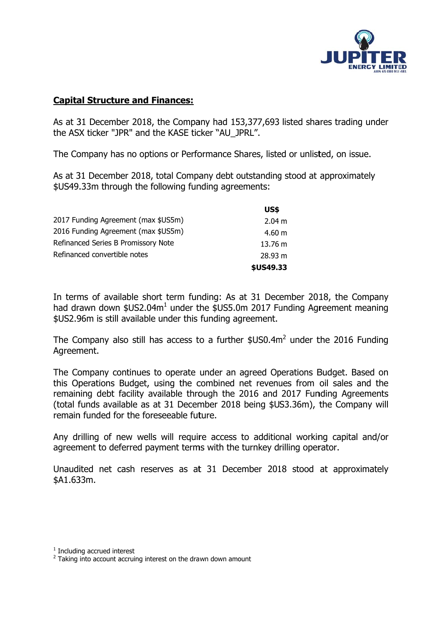

## **Capital Structure and Finances:**

As at 31 December 2018, the Company had 153,377,693 listed shares trading under the ASX ticker "JPR" and the KASE ticker "AU\_JPRL".

The Company has no options or Performance Shares, listed or unlisted, on issue.

As at 31 December 2018, total Company debt outstanding stood at approximately \$US49.33m through the following funding agreements:

|                                     | US\$              |
|-------------------------------------|-------------------|
| 2017 Funding Agreement (max \$US5m) | 2.04 m            |
| 2016 Funding Agreement (max \$US5m) | 4.60 m            |
| Refinanced Series B Promissory Note | $13.76 \text{ m}$ |
| Refinanced convertible notes        | 28.93 m           |
|                                     | \$US49.33         |

In terms of available short term funding: As at 31 December 2018, the Company had drawn down \$US2.04m<sup>1</sup> under the \$US5.0m 2017 Funding Agreement meaning \$US2.96m is still available under this funding agreement.

The Company also still has access to a further \$US0.4m<sup>2</sup> under the 2016 Funding Agreement.

The Company continues to operate under an agreed Operations Budget. Based on this Operations Budget, using the combined net revenues from oil sales and the remaining debt facility available through the 2016 and 2017 Funding Agreements (total funds available as at 31 December 2018 being \$US3.36m), the Company will remain funded for the foreseeable future.

Any drilling of new wells will require access to additional working capital and/or agreement to deferred payment terms with the turnkey drilling operator.

Unaudited net cash reserves as at 31 December 2018 stood at approximately \$A1.633m.

 $1$  Including accrued interest

<sup>&</sup>lt;sup>2</sup> Taking into account accruing interest on the drawn down amount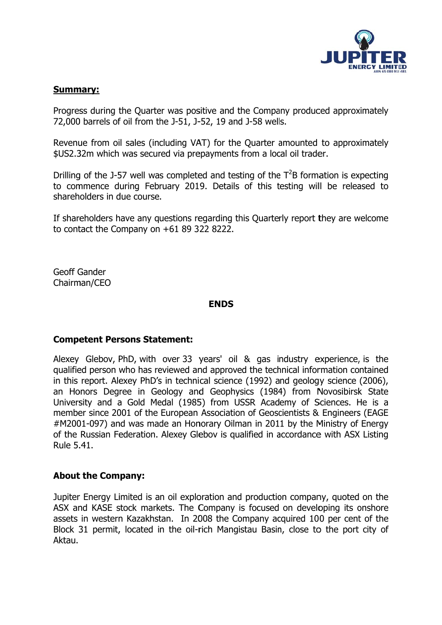

### **Summary:**

Progress during the Quarter was positive and the Company produced approximately 72,000 barrels of oil from the J-51, J-52, 19 and J-58 wells.

Revenue from oil sales (including VAT) for the Quarter amounted to approximately \$US2.32m which was secured via prepayments from a local oil trader.

Drilling of the J-57 well was completed and testing of the  $T^2B$  formation is expecting to commence during February 2019. Details of this testing will be released to shareholders in due course.

If shareholders have any questions regarding this Quarterly report they are welcome to contact the Company on  $+6189322822$ .

**Geoff Gander** Chairman/CEO

### **ENDS**

### **Competent Persons Statement:**

Alexey Glebov, PhD, with over 33 years' oil & gas industry experience, is the qualified person who has reviewed and approved the technical information contained in this report. Alexey PhD's in technical science (1992) and geology science (2006), an Honors Degree in Geology and Geophysics (1984) from Novosibirsk State University and a Gold Medal (1985) from USSR Academy of Sciences. He is a member since 2001 of the European Association of Geoscientists & Engineers (EAGE #M2001-097) and was made an Honorary Oilman in 2011 by the Ministry of Energy of the Russian Federation, Alexey Gleboy is qualified in accordance with ASX Listing Rule 5.41.

### **About the Company:**

Jupiter Energy Limited is an oil exploration and production company, guoted on the ASX and KASE stock markets. The Company is focused on developing its onshore assets in western Kazakhstan. In 2008 the Company acquired 100 per cent of the Block 31 permit, located in the oil-rich Mangistau Basin, close to the port city of Aktau.